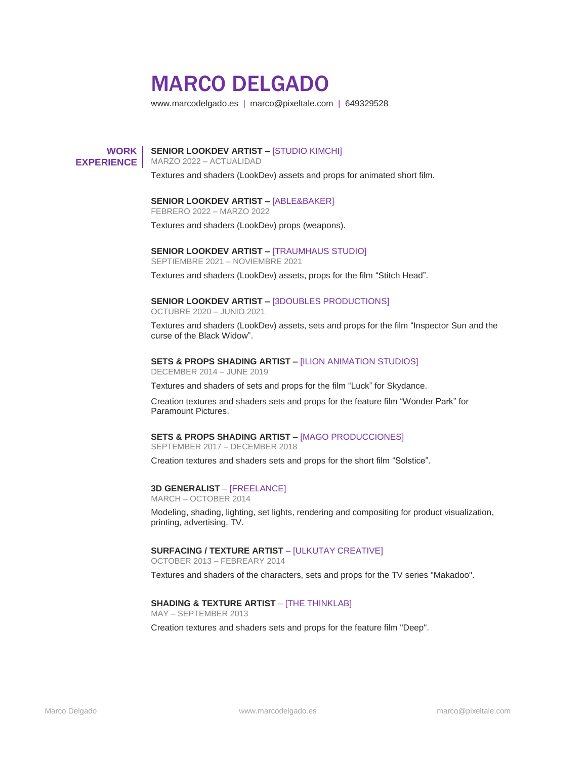# MARCO DELGADO

www.marcodelgado.es | marco@pixeltale.com | 649329528

# **WORK EXPERIENCE**

# **SENIOR LOOKDEV ARTIST –** [STUDIO KIMCHI]

MARZO 2022 – ACTUALIDAD

Textures and shaders (LookDev) assets and props for animated short film.

# **SENIOR LOOKDEV ARTIST –** [ABLE&BAKER]

FEBRERO 2022 – MARZO 2022

Textures and shaders (LookDev) props (weapons).

# **SENIOR LOOKDEV ARTIST –** [TRAUMHAUS STUDIO]

SEPTIEMBRE 2021 – NOVIEMBRE 2021

Textures and shaders (LookDev) assets, props for the film "Stitch Head".

#### **SENIOR LOOKDEV ARTIST –** [3DOUBLES PRODUCTIONS]

OCTUBRE 2020 – JUNIO 2021

Textures and shaders (LookDev) assets, sets and props for the film "Inspector Sun and the curse of the Black Widow".

#### **SETS & PROPS SHADING ARTIST –** [ILION ANIMATION STUDIOS]

DECEMBER 2014 – JUNE 2019

Textures and shaders of sets and props for the film "Luck" for Skydance.

Creation textures and shaders sets and props for the feature film "Wonder Park" for Paramount Pictures.

# **SETS & PROPS SHADING ARTIST –** [MAGO PRODUCCIONES]

SEPTEMBER 2017 – DECEMBER 2018

Creation textures and shaders sets and props for the short film "Solstice".

# **3D GENERALIST** – [FREELANCE]

MARCH – OCTOBER 2014

Modeling, shading, lighting, set lights, rendering and compositing for product visualization, printing, advertising, TV.

# **SURFACING / TEXTURE ARTIST - [ULKUTAY CREATIVE]**

OCTOBER 2013 – FEBREARY 2014

Textures and shaders of the characters, sets and props for the TV series "Makadoo".

# **SHADING & TEXTURE ARTIST** – [THE THINKLAB]

MAY – SEPTEMBER 2013 Creation textures and shaders sets and props for the feature film "Deep".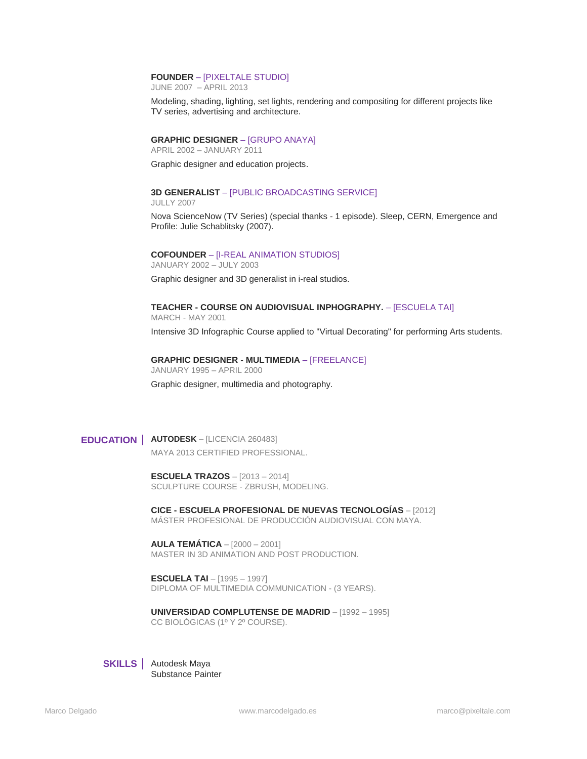#### **FOUNDER** – [PIXELTALE STUDIO]

JUNE 2007 – APRIL 2013

Modeling, shading, lighting, set lights, rendering and compositing for different projects like TV series, advertising and architecture.

# **GRAPHIC DESIGNER** – [GRUPO ANAYA]

APRIL 2002 – JANUARY 2011

Graphic designer and education projects.

# **3D GENERALIST** – [PUBLIC BROADCASTING SERVICE]

JULLY 2007

Nova ScienceNow (TV Series) (special thanks - 1 episode). Sleep, CERN, Emergence and Profile: Julie Schablitsky (2007).

# **COFOUNDER** – [I-REAL ANIMATION STUDIOS]

JANUARY 2002 – JULY 2003 Graphic designer and 3D generalist in i-real studios.

# **TEACHER - COURSE ON AUDIOVISUAL INPHOGRAPHY.** – [ESCUELA TAI]

MARCH - MAY 2001

Intensive 3D Infographic Course applied to "Virtual Decorating" for performing Arts students.

# **GRAPHIC DESIGNER - MULTIMEDIA** – [FREELANCE] JANUARY 1995 – APRIL 2000

Graphic designer, multimedia and photography.

**EDUCATION AUTODESK** – [LICENCIA 260483] MAYA 2013 CERTIFIED PROFESSIONAL.

> **ESCUELA TRAZOS** – [2013 – 2014] SCULPTURE COURSE - ZBRUSH, MODELING.

**CICE - ESCUELA PROFESIONAL DE NUEVAS TECNOLOGÍAS** – [2012] MÁSTER PROFESIONAL DE PRODUCCIÓN AUDIOVISUAL CON MAYA.

**AULA TEMÁTICA** – [2000 – 2001] MASTER IN 3D ANIMATION AND POST PRODUCTION.

**ESCUELA TAI** – [1995 – 1997] DIPLOMA OF MULTIMEDIA COMMUNICATION - (3 YEARS).

**UNIVERSIDAD COMPLUTENSE DE MADRID** – [1992 – 1995] CC BIOLÓGICAS (1º Y 2º COURSE).



**SKILLS** | Autodesk Maya Substance Painter